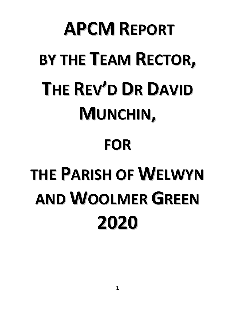## **APCM REPORT BY THE TEAM RECTOR, THE REV'D DR DAVID MUNCHIN, FOR THE PARISH OF WELWYN AND WOOLMER GREEN 2020**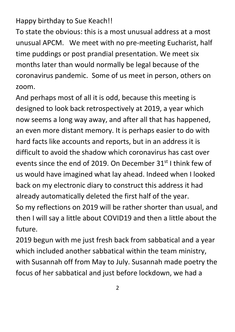Happy birthday to Sue Keach!!

To state the obvious: this is a most unusual address at a most unusual APCM. We meet with no pre-meeting Eucharist, half time puddings or post prandial presentation. We meet six months later than would normally be legal because of the coronavirus pandemic. Some of us meet in person, others on zoom.

And perhaps most of all it is odd, because this meeting is designed to look back retrospectively at 2019, a year which now seems a long way away, and after all that has happened, an even more distant memory. It is perhaps easier to do with hard facts like accounts and reports, but in an address it is difficult to avoid the shadow which coronavirus has cast over events since the end of 2019. On December 31<sup>st</sup> I think few of us would have imagined what lay ahead. Indeed when I looked back on my electronic diary to construct this address it had already automatically deleted the first half of the year.

So my reflections on 2019 will be rather shorter than usual, and then I will say a little about COVID19 and then a little about the future.

2019 begun with me just fresh back from sabbatical and a year which included another sabbatical within the team ministry, with Susannah off from May to July. Susannah made poetry the focus of her sabbatical and just before lockdown, we had a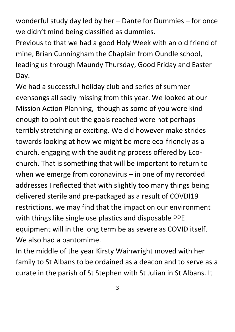wonderful study day led by her – Dante for Dummies – for once we didn't mind being classified as dummies.

Previous to that we had a good Holy Week with an old friend of mine, Brian Cunningham the Chaplain from Oundle school, leading us through Maundy Thursday, Good Friday and Easter Day.

We had a successful holiday club and series of summer evensongs all sadly missing from this year. We looked at our Mission Action Planning, though as some of you were kind enough to point out the goals reached were not perhaps terribly stretching or exciting. We did however make strides towards looking at how we might be more eco-friendly as a church, engaging with the auditing process offered by Ecochurch. That is something that will be important to return to when we emerge from coronavirus – in one of my recorded addresses I reflected that with slightly too many things being delivered sterile and pre-packaged as a result of COVDI19 restrictions. we may find that the impact on our environment with things like single use plastics and disposable PPE equipment will in the long term be as severe as COVID itself. We also had a pantomime.

In the middle of the year Kirsty Wainwright moved with her family to St Albans to be ordained as a deacon and to serve as a curate in the parish of St Stephen with St Julian in St Albans. It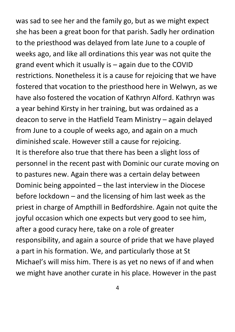was sad to see her and the family go, but as we might expect she has been a great boon for that parish. Sadly her ordination to the priesthood was delayed from late June to a couple of weeks ago, and like all ordinations this year was not quite the grand event which it usually is – again due to the COVID restrictions. Nonetheless it is a cause for rejoicing that we have fostered that vocation to the priesthood here in Welwyn, as we have also fostered the vocation of Kathryn Alford. Kathryn was a year behind Kirsty in her training, but was ordained as a deacon to serve in the Hatfield Team Ministry – again delayed from June to a couple of weeks ago, and again on a much diminished scale. However still a cause for rejoicing. It is therefore also true that there has been a slight loss of personnel in the recent past with Dominic our curate moving on to pastures new. Again there was a certain delay between Dominic being appointed – the last interview in the Diocese before lockdown – and the licensing of him last week as the priest in charge of Ampthill in Bedfordshire. Again not quite the joyful occasion which one expects but very good to see him, after a good curacy here, take on a role of greater responsibility, and again a source of pride that we have played a part in his formation. We, and particularly those at St Michael's will miss him. There is as yet no news of if and when we might have another curate in his place. However in the past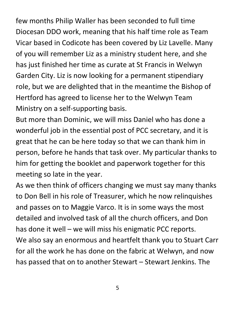few months Philip Waller has been seconded to full time Diocesan DDO work, meaning that his half time role as Team Vicar based in Codicote has been covered by Liz Lavelle. Many of you will remember Liz as a ministry student here, and she has just finished her time as curate at St Francis in Welwyn Garden City. Liz is now looking for a permanent stipendiary role, but we are delighted that in the meantime the Bishop of Hertford has agreed to license her to the Welwyn Team Ministry on a self-supporting basis.

But more than Dominic, we will miss Daniel who has done a wonderful job in the essential post of PCC secretary, and it is great that he can be here today so that we can thank him in person, before he hands that task over. My particular thanks to him for getting the booklet and paperwork together for this meeting so late in the year.

As we then think of officers changing we must say many thanks to Don Bell in his role of Treasurer, which he now relinquishes and passes on to Maggie Varco. It is in some ways the most detailed and involved task of all the church officers, and Don has done it well – we will miss his enigmatic PCC reports. We also say an enormous and heartfelt thank you to Stuart Carr for all the work he has done on the fabric at Welwyn, and now has passed that on to another Stewart – Stewart Jenkins. The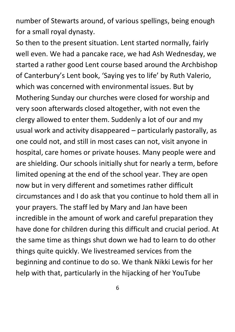number of Stewarts around, of various spellings, being enough for a small royal dynasty.

So then to the present situation. Lent started normally, fairly well even. We had a pancake race, we had Ash Wednesday, we started a rather good Lent course based around the Archbishop of Canterbury's Lent book, 'Saying yes to life' by Ruth Valerio, which was concerned with environmental issues. But by Mothering Sunday our churches were closed for worship and very soon afterwards closed altogether, with not even the clergy allowed to enter them. Suddenly a lot of our and my usual work and activity disappeared – particularly pastorally, as one could not, and still in most cases can not, visit anyone in hospital, care homes or private houses. Many people were and are shielding. Our schools initially shut for nearly a term, before limited opening at the end of the school year. They are open now but in very different and sometimes rather difficult circumstances and I do ask that you continue to hold them all in your prayers. The staff led by Mary and Jan have been incredible in the amount of work and careful preparation they have done for children during this difficult and crucial period. At the same time as things shut down we had to learn to do other things quite quickly. We livestreamed services from the beginning and continue to do so. We thank Nikki Lewis for her help with that, particularly in the hijacking of her YouTube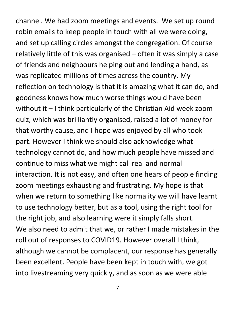channel. We had zoom meetings and events. We set up round robin emails to keep people in touch with all we were doing, and set up calling circles amongst the congregation. Of course relatively little of this was organised – often it was simply a case of friends and neighbours helping out and lending a hand, as was replicated millions of times across the country. My reflection on technology is that it is amazing what it can do, and goodness knows how much worse things would have been without it – I think particularly of the Christian Aid week zoom quiz, which was brilliantly organised, raised a lot of money for that worthy cause, and I hope was enjoyed by all who took part. However I think we should also acknowledge what technology cannot do, and how much people have missed and continue to miss what we might call real and normal interaction. It is not easy, and often one hears of people finding zoom meetings exhausting and frustrating. My hope is that when we return to something like normality we will have learnt to use technology better, but as a tool, using the right tool for the right job, and also learning were it simply falls short. We also need to admit that we, or rather I made mistakes in the roll out of responses to COVID19. However overall I think, although we cannot be complacent, our response has generally been excellent. People have been kept in touch with, we got into livestreaming very quickly, and as soon as we were able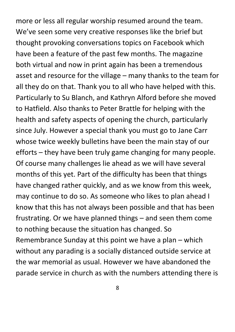more or less all regular worship resumed around the team. We've seen some very creative responses like the brief but thought provoking conversations topics on Facebook which have been a feature of the past few months. The magazine both virtual and now in print again has been a tremendous asset and resource for the village – many thanks to the team for all they do on that. Thank you to all who have helped with this. Particularly to Su Blanch, and Kathryn Alford before she moved to Hatfield. Also thanks to Peter Brattle for helping with the health and safety aspects of opening the church, particularly since July. However a special thank you must go to Jane Carr whose twice weekly bulletins have been the main stay of our efforts – they have been truly game changing for many people. Of course many challenges lie ahead as we will have several months of this yet. Part of the difficulty has been that things have changed rather quickly, and as we know from this week, may continue to do so. As someone who likes to plan ahead I know that this has not always been possible and that has been frustrating. Or we have planned things – and seen them come to nothing because the situation has changed. So Remembrance Sunday at this point we have a plan – which without any parading is a socially distanced outside service at the war memorial as usual. However we have abandoned the parade service in church as with the numbers attending there is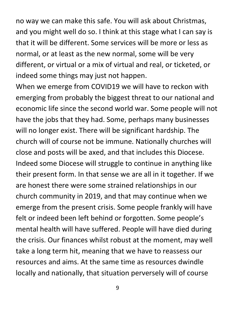no way we can make this safe. You will ask about Christmas, and you might well do so. I think at this stage what I can say is that it will be different. Some services will be more or less as normal, or at least as the new normal, some will be very different, or virtual or a mix of virtual and real, or ticketed, or indeed some things may just not happen.

When we emerge from COVID19 we will have to reckon with emerging from probably the biggest threat to our national and economic life since the second world war. Some people will not have the jobs that they had. Some, perhaps many businesses will no longer exist. There will be significant hardship. The church will of course not be immune. Nationally churches will close and posts will be axed, and that includes this Diocese. Indeed some Diocese will struggle to continue in anything like their present form. In that sense we are all in it together. If we are honest there were some strained relationships in our church community in 2019, and that may continue when we emerge from the present crisis. Some people frankly will have felt or indeed been left behind or forgotten. Some people's mental health will have suffered. People will have died during the crisis. Our finances whilst robust at the moment, may well take a long term hit, meaning that we have to reassess our resources and aims. At the same time as resources dwindle locally and nationally, that situation perversely will of course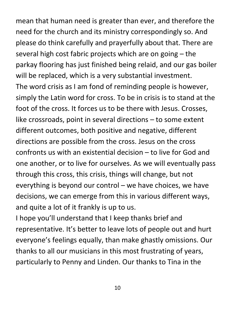mean that human need is greater than ever, and therefore the need for the church and its ministry correspondingly so. And please do think carefully and prayerfully about that. There are several high cost fabric projects which are on going – the parkay flooring has just finished being relaid, and our gas boiler will be replaced, which is a very substantial investment. The word crisis as I am fond of reminding people is however, simply the Latin word for cross. To be in crisis is to stand at the foot of the cross. It forces us to be there with Jesus. Crosses, like crossroads, point in several directions – to some extent different outcomes, both positive and negative, different directions are possible from the cross. Jesus on the cross confronts us with an existential decision – to live for God and one another, or to live for ourselves. As we will eventually pass through this cross, this crisis, things will change, but not everything is beyond our control – we have choices, we have decisions, we can emerge from this in various different ways, and quite a lot of it frankly is up to us.

I hope you'll understand that I keep thanks brief and representative. It's better to leave lots of people out and hurt everyone's feelings equally, than make ghastly omissions. Our thanks to all our musicians in this most frustrating of years, particularly to Penny and Linden. Our thanks to Tina in the